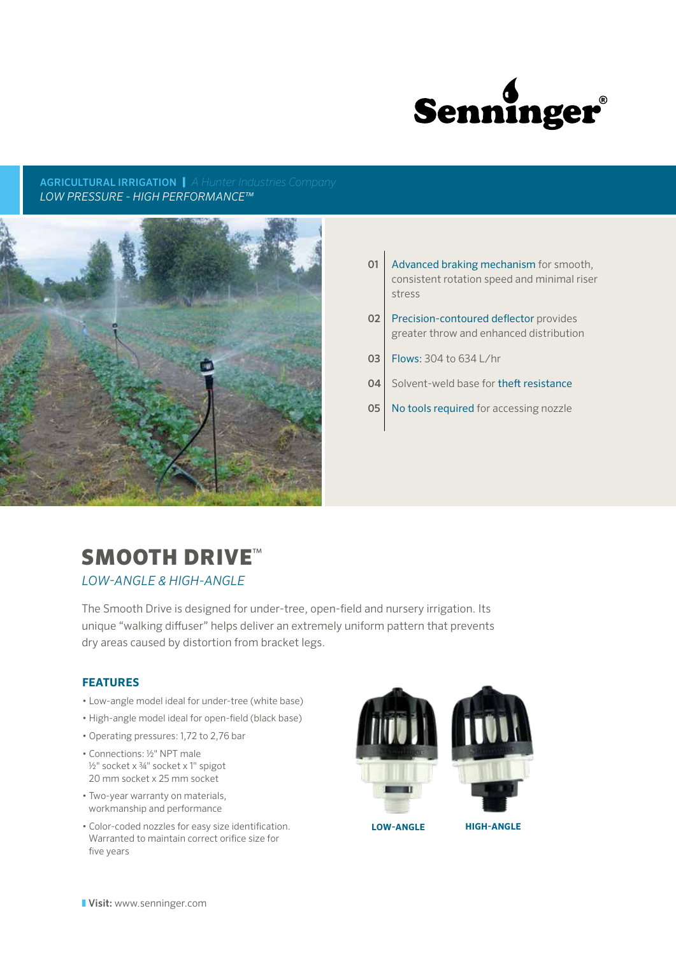

AGRICULTURAL IRRIGATION | *A Hunter Industries Company LOW PRESSURE - HIGH PERFORMANCE™*



- **01** Advanced braking mechanism for smooth, consistent rotation speed and minimal riser stress
- 02 Precision-contoured deflector provides greater throw and enhanced distribution
- 03 | Flows: 304 to 634 L/hr
- 04 Solvent-weld base for theft resistance
- 05 No tools required for accessing nozzle

# SMOOTH DRIVE<sup>™</sup>

*LOW-ANGLE & HIGH-ANGLE*

The Smooth Drive is designed for under-tree, open-field and nursery irrigation. Its unique "walking diffuser" helps deliver an extremely uniform pattern that prevents dry areas caused by distortion from bracket legs.

## **FEATURES**

- Low-angle model ideal for under-tree (white base)
- High-angle model ideal for open-field (black base)
- Operating pressures: 1,72 to 2,76 bar
- Connections: 1/2" NPT male 1/<sub>2</sub>" socket x 3/4" socket x 1" spigot 20 mm socket x 25 mm socket
- Two-year warranty on materials, workmanship and performance
- Color-coded nozzles for easy size identification. Warranted to maintain correct orifice size for five years



**LOW-ANGLE HIGH-ANGLE**